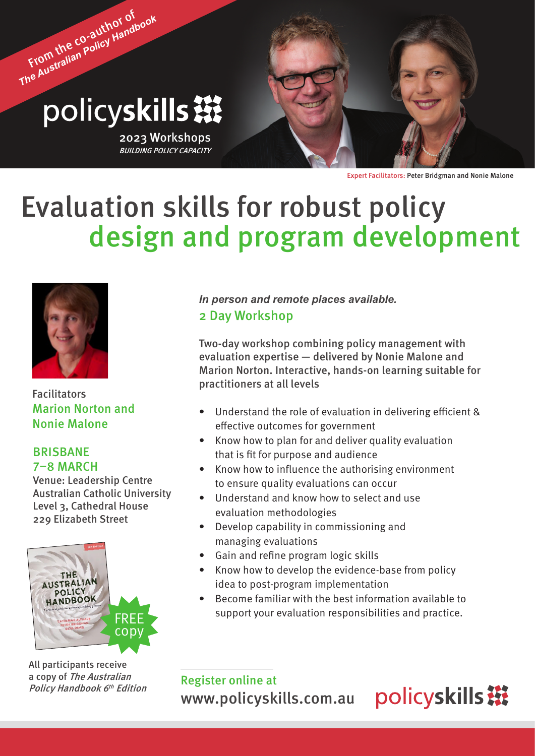# From the co-author of *The Australian Policy Handbook* policyskills ※

2023 Workshops BUILDING POLICY CAPACITY

Expert Facilitators: Peter Bridgman and Nonie Malone

## Evaluation skills for robust policy design and program development



Facilitators Marion Norton and Nonie Malone

#### BRISBANE 7–8 MARCH

Venue: Leadership Centre Australian Catholic University Level 3, Cathedral House 229 Elizabeth Street



All participants receive a copy of The Australian Policy Handbook 6<sup>th</sup> Edition

2 Day Workshop *In person and remote places available.*

Two-day workshop combining policy management with evaluation expertise — delivered by Nonie Malone and Marion Norton. Interactive, hands-on learning suitable for practitioners at all levels

- Understand the role of evaluation in delivering efficient & effective outcomes for government
- Know how to plan for and deliver quality evaluation that is fit for purpose and audience
- Know how to influence the authorising environment to ensure quality evaluations can occur
- Understand and know how to select and use evaluation methodologies
- Develop capability in commissioning and managing evaluations
- Gain and refine program logic skills
- Know how to develop the evidence-base from policy idea to post-program implementation
- Become familiar with the best information available to support your evaluation responsibilities and practice.

Register online at <www.policyskills.com.au>